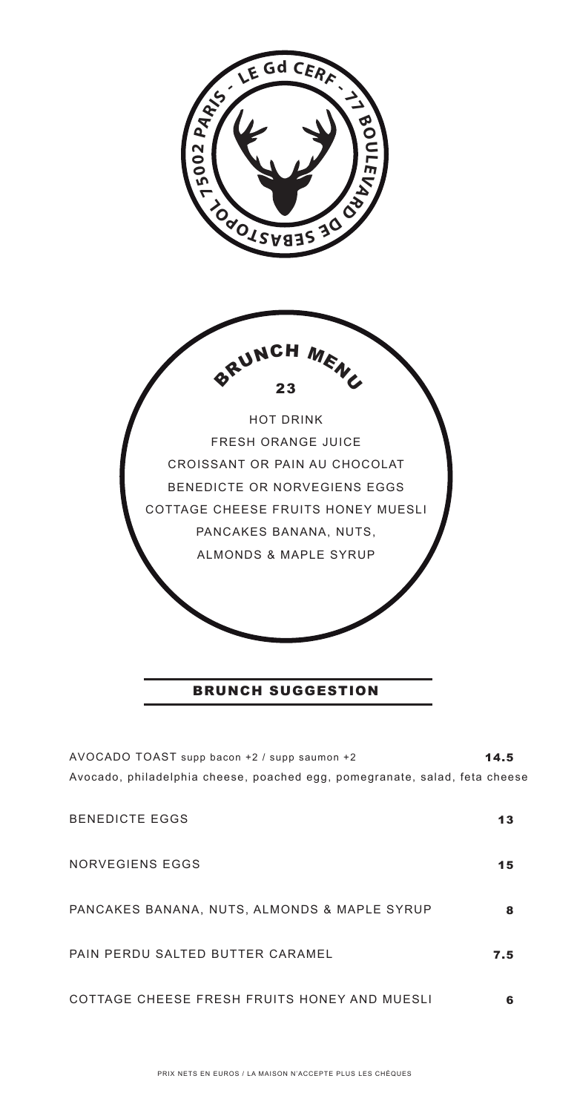

AVOCADO TOAST supp bacon +2 / supp saumon +2 Avocado, philadelphia cheese, poached egg, pomegranate, salad, feta cheese 14.5

| <b>BENEDICTE EGGS</b>                        | 13  |
|----------------------------------------------|-----|
| NORVEGIENS EGGS                              | 15  |
| PANCAKES BANANA, NUTS, ALMONDS & MAPLE SYRUP | 8   |
| PAIN PERDU SALTED BUTTER CARAMEL             | 7.5 |
| COTTAGE CHEESE FRESH FRUITS HONEY AND MUESLI |     |